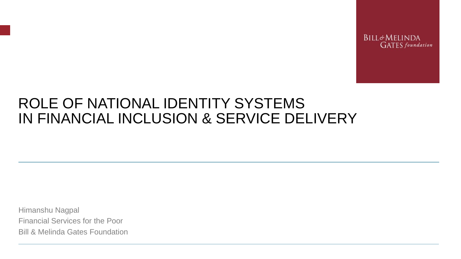**BILL&MELINDA GATES** foundation

### ROLE OF NATIONAL IDENTITY SYSTEMS IN FINANCIAL INCLUSION & SERVICE DELIVERY

Himanshu Nagpal Financial Services for the Poor Bill & Melinda Gates Foundation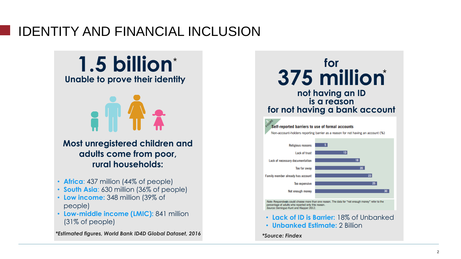### IDENTITY AND FINANCIAL INCLUSION

**1.5 billion** \* **Unable to prove their identity Most unregistered children and adults come from poor, rural households:** *\*Estimated figures, World Bank ID4D Global Dataset, 2016* • **Africa**: 437 million (44% of people) • **South Asia**: 630 million (36% of people) • **Low income:** 348 million (39% of people) • **Low-middle income (LMIC):** 841 million (31% of people)

**for 375 million** \* **not having an ID is a reason for not having a bank account** Self-reported barriers to use of formal accounts Non-account-holders reporting barrier as a reason for not having an account (%) **Religious reasons** 



percentage of adults who reported only this reason. Source: Demirguc-Kunt and Klapper 2012

- **Lack of ID is Barrier:** 18% of Unbanked
- **Unbanked Estimate:** 2 Billion

*\*Source: Findex*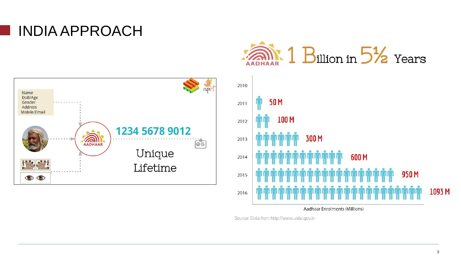# INDIA APPROACH





Aadhaar Enrolments (Millions)

Source: Data from http://www.uidai.gov.in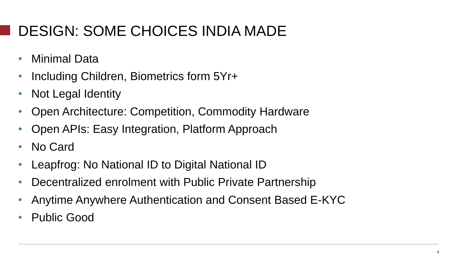# DESIGN: SOME CHOICES INDIA MADE

- Minimal Data
- Including Children, Biometrics form 5Yr+
- Not Legal Identity
- Open Architecture: Competition, Commodity Hardware
- Open APIs: Easy Integration, Platform Approach
- No Card
- Leapfrog: No National ID to Digital National ID
- Decentralized enrolment with Public Private Partnership
- Anytime Anywhere Authentication and Consent Based E-KYC
- Public Good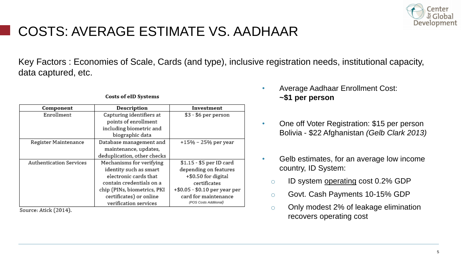

### COSTS: AVERAGE ESTIMATE VS. AADHAAR

Key Factors : Economies of Scale, Cards (and type), inclusive registration needs, institutional capacity, data captured, etc.

| Component                      | Description                 | Investment                    |
|--------------------------------|-----------------------------|-------------------------------|
| Enrollment                     | Capturing identifiers at    | \$3 - \$6 per person          |
|                                | points of enrollment        |                               |
|                                | including biometric and     |                               |
|                                | biographic data             |                               |
| Register Maintenance           | Database management and     | $+15% - 25%$ per year         |
|                                | maintenance, updates,       |                               |
|                                | deduplication, other checks |                               |
| <b>Authentication Services</b> | Mechanisms for verifying    | \$1.15 - \$5 per ID card      |
|                                | identity such as smart      | depending on features         |
|                                | electronic cards that       | +\$0.50 for digital           |
|                                | contain credentials on a    | certificates                  |
|                                | chip (PINs, biometrics, PKI | +\$0.05 - \$0.10 per year per |
|                                | certificates) or online     | card for maintenance          |
|                                | verification services       | (POS Costs Additional)        |

**Costs of eID Systems** 

Source: Atick (2014).

- Average Aadhaar Enrollment Cost: **~\$1 per person**
- One off Voter Registration: \$15 per person Bolivia - \$22 Afghanistan *(Gelb Clark 2013)*
- Gelb estimates, for an average low income country, ID System:
	- o ID system operating cost 0.2% GDP
	- o Govt. Cash Payments 10-15% GDP
	- o Only modest 2% of leakage elimination recovers operating cost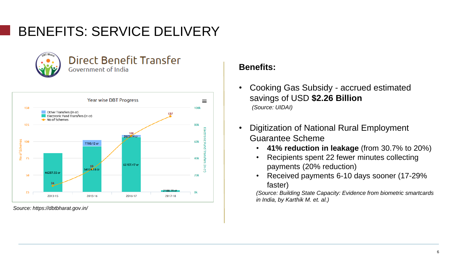## BENEFITS: SERVICE DELIVERY



#### **Direct Benefit Transfer** Government of India



*Source: https://dbtbharat.gov.in/*

### **Benefits:**

- Cooking Gas Subsidy accrued estimated savings of USD **\$2.26 Billion**  *(Source: UIDAI)*
- Digitization of National Rural Employment Guarantee Scheme
	- **41% reduction in leakage** (from 30.7% to 20%)
	- Recipients spent 22 fewer minutes collecting payments (20% reduction)
	- Received payments 6-10 days sooner (17-29% faster)

*(Source: Building State Capacity: Evidence from biometric smartcards in India, by Karthik M. et. al.)*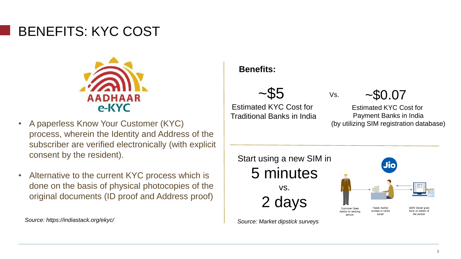### BENEFITS: KYC COST



- A paperless Know Your Customer (KYC) process, wherein the Identity and Address of the subscriber are verified electronically (with explicit consent by the resident).
- Alternative to the current KYC process which is done on the basis of physical photocopies of the original documents (ID proof and Address proof)

*Source: https://indiastack.org/ekyc/*

#### **Benefits:**



Estimated KYC Cost for Traditional Banks in India  $~10.07$ 

Estimated KYC Cost for Payment Banks in India (by utilizing SIM registration database)



Vs.

*Source: Market dipstick surveys*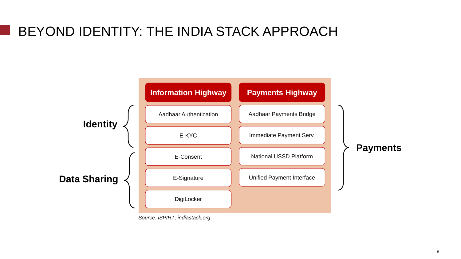### BEYOND IDENTITY: THE INDIA STACK APPROACH